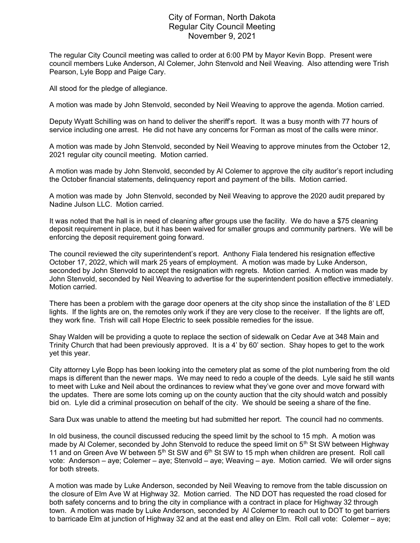## City of Forman, North Dakota Regular City Council Meeting November 9, 2021

The regular City Council meeting was called to order at 6:00 PM by Mayor Kevin Bopp. Present were council members Luke Anderson, Al Colemer, John Stenvold and Neil Weaving. Also attending were Trish Pearson, Lyle Bopp and Paige Cary.

All stood for the pledge of allegiance.

A motion was made by John Stenvold, seconded by Neil Weaving to approve the agenda. Motion carried.

Deputy Wyatt Schilling was on hand to deliver the sheriff's report. It was a busy month with 77 hours of service including one arrest. He did not have any concerns for Forman as most of the calls were minor.

A motion was made by John Stenvold, seconded by Neil Weaving to approve minutes from the October 12, 2021 regular city council meeting. Motion carried.

A motion was made by John Stenvold, seconded by Al Colemer to approve the city auditor's report including the October financial statements, delinquency report and payment of the bills. Motion carried.

A motion was made by John Stenvold, seconded by Neil Weaving to approve the 2020 audit prepared by Nadine Julson LLC. Motion carried.

It was noted that the hall is in need of cleaning after groups use the facility. We do have a \$75 cleaning deposit requirement in place, but it has been waived for smaller groups and community partners. We will be enforcing the deposit requirement going forward.

The council reviewed the city superintendent's report. Anthony Fiala tendered his resignation effective October 17, 2022, which will mark 25 years of employment. A motion was made by Luke Anderson, seconded by John Stenvold to accept the resignation with regrets. Motion carried. A motion was made by John Stenvold, seconded by Neil Weaving to advertise for the superintendent position effective immediately. Motion carried.

There has been a problem with the garage door openers at the city shop since the installation of the 8' LED lights. If the lights are on, the remotes only work if they are very close to the receiver. If the lights are off, they work fine. Trish will call Hope Electric to seek possible remedies for the issue.

Shay Walden will be providing a quote to replace the section of sidewalk on Cedar Ave at 348 Main and Trinity Church that had been previously approved. It is a 4' by 60' section. Shay hopes to get to the work yet this year.

City attorney Lyle Bopp has been looking into the cemetery plat as some of the plot numbering from the old maps is different than the newer maps. We may need to redo a couple of the deeds. Lyle said he still wants to meet with Luke and Neil about the ordinances to review what they've gone over and move forward with the updates. There are some lots coming up on the county auction that the city should watch and possibly bid on. Lyle did a criminal prosecution on behalf of the city. We should be seeing a share of the fine.

Sara Dux was unable to attend the meeting but had submitted her report. The council had no comments.

In old business, the council discussed reducing the speed limit by the school to 15 mph. A motion was made by Al Colemer, seconded by John Stenvold to reduce the speed limit on  $5<sup>th</sup>$  St SW between Highway 11 and on Green Ave W between  $5<sup>th</sup>$  St SW and  $6<sup>th</sup>$  St SW to 15 mph when children are present. Roll call vote: Anderson – aye; Colemer – aye; Stenvold – aye; Weaving – aye. Motion carried. We will order signs for both streets.

A motion was made by Luke Anderson, seconded by Neil Weaving to remove from the table discussion on the closure of Elm Ave W at Highway 32. Motion carried. The ND DOT has requested the road closed for both safety concerns and to bring the city in compliance with a contract in place for Highway 32 through town. A motion was made by Luke Anderson, seconded by Al Colemer to reach out to DOT to get barriers to barricade Elm at junction of Highway 32 and at the east end alley on Elm. Roll call vote: Colemer – aye;